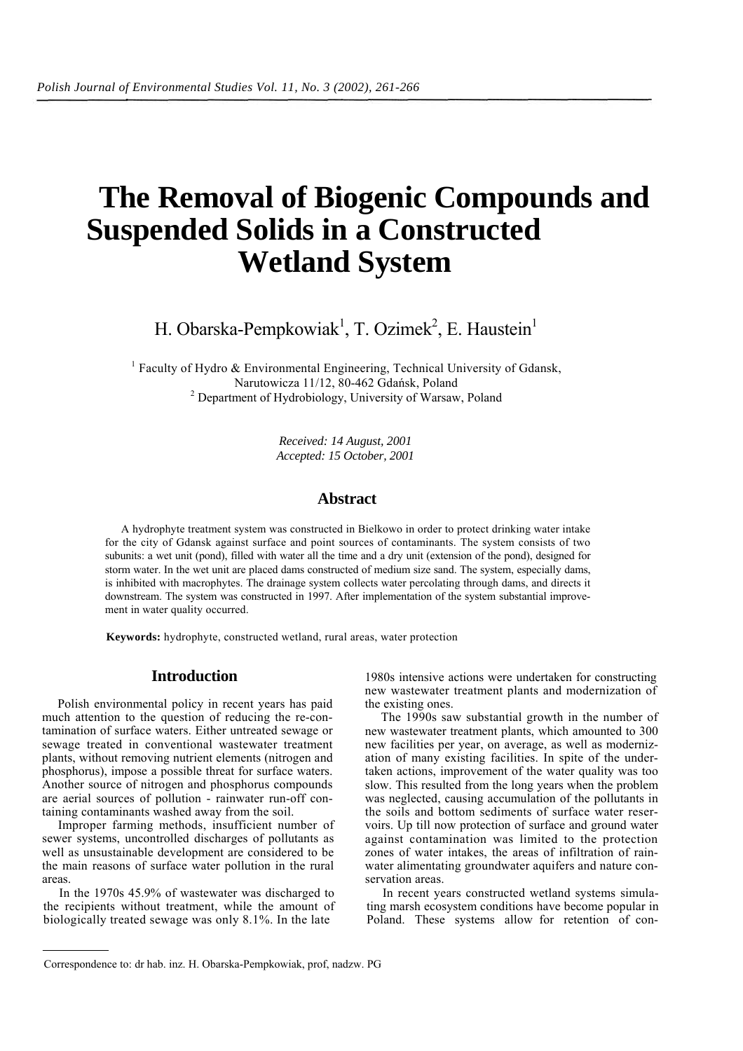# **The Removal of Biogenic Compounds and Suspended Solids in a Constructed Wetland System**

H. Obarska-Pempkowiak<sup>1</sup>, T. Ozimek<sup>2</sup>, E. Haustein<sup>1</sup>

<sup>1</sup> Faculty of Hydro & Environmental Engineering, Technical University of Gdansk, Narutowicza 11/12, 80-462 Gdańsk, Poland 2 <sup>2</sup> Department of Hydrobiology, University of Warsaw, Poland

> *Received: 14 August, 2001 Accepted: 15 October, 2001*

# **Abstract**

A hydrophyte treatment system was constructed in Bielkowo in order to protect drinking water intake for the city of Gdansk against surface and point sources of contaminants. The system consists of two subunits: a wet unit (pond), filled with water all the time and a dry unit (extension of the pond), designed for storm water. In the wet unit are placed dams constructed of medium size sand. The system, especially dams, is inhibited with macrophytes. The drainage system collects water percolating through dams, and directs it downstream. The system was constructed in 1997. After implementation of the system substantial improvement in water quality occurred.

**Keywords:** hydrophyte, constructed wetland, rural areas, water protection

# **Introduction**

Polish environmental policy in recent years has paid much attention to the question of reducing the re-contamination of surface waters. Either untreated sewage or sewage treated in conventional wastewater treatment plants, without removing nutrient elements (nitrogen and phosphorus), impose a possible threat for surface waters. Another source of nitrogen and phosphorus compounds are aerial sources of pollution - rainwater run-off containing contaminants washed away from the soil.

Improper farming methods, insufficient number of sewer systems, uncontrolled discharges of pollutants as well as unsustainable development are considered to be the main reasons of surface water pollution in the rural areas.

In the 1970s 45.9% of wastewater was discharged to the recipients without treatment, while the amount of biologically treated sewage was only 8.1%. In the late

1980s intensive actions were undertaken for constructing new wastewater treatment plants and modernization of the existing ones.

The 1990s saw substantial growth in the number of new wastewater treatment plants, which amounted to 300 new facilities per year, on average, as well as modernization of many existing facilities. In spite of the undertaken actions, improvement of the water quality was too slow. This resulted from the long years when the problem was neglected, causing accumulation of the pollutants in the soils and bottom sediments of surface water reservoirs. Up till now protection of surface and ground water against contamination was limited to the protection zones of water intakes, the areas of infiltration of rainwater alimentating groundwater aquifers and nature conservation areas.

In recent years constructed wetland systems simulating marsh ecosystem conditions have become popular in Poland. These systems allow for retention of con-

Correspondence to: dr hab. inz. H. Obarska-Pempkowiak, prof, nadzw. PG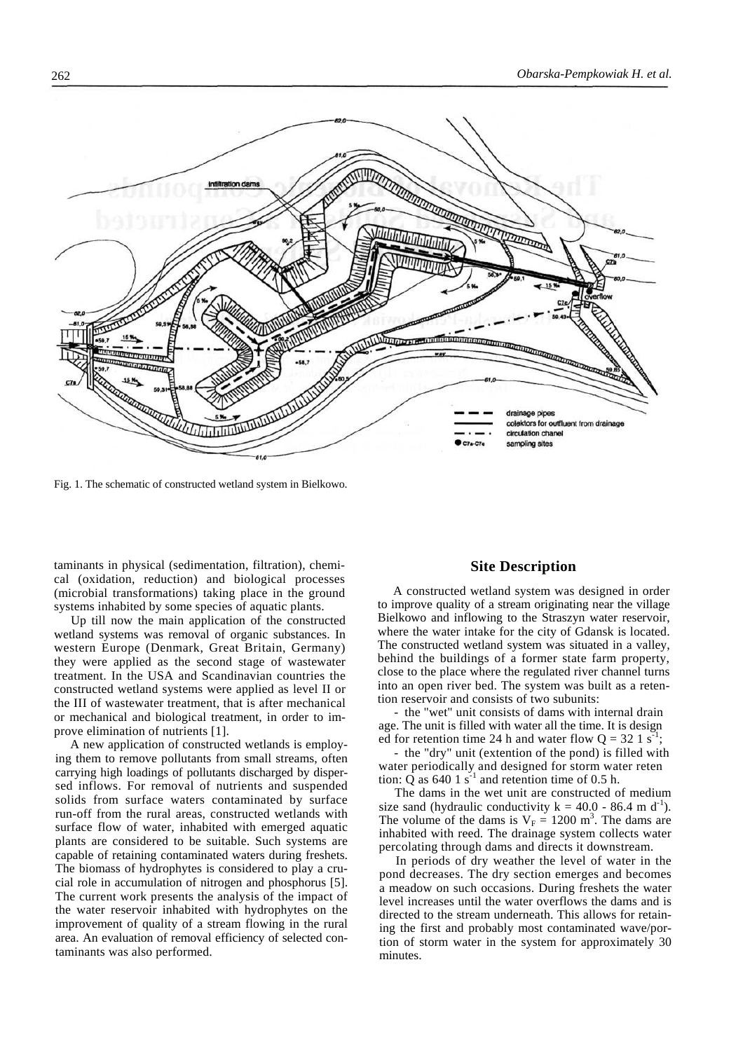

Fig. 1. The schematic of constructed wetland system in Bielkowo.

taminants in physical (sedimentation, filtration), chemical (oxidation, reduction) and biological processes (microbial transformations) taking place in the ground systems inhabited by some species of aquatic plants.

Up till now the main application of the constructed wetland systems was removal of organic substances. In western Europe (Denmark, Great Britain, Germany) they were applied as the second stage of wastewater treatment. In the USA and Scandinavian countries the constructed wetland systems were applied as level II or the III of wastewater treatment, that is after mechanical or mechanical and biological treatment, in order to improve elimination of nutrients [1].

A new application of constructed wetlands is employing them to remove pollutants from small streams, often carrying high loadings of pollutants discharged by dispersed inflows. For removal of nutrients and suspended solids from surface waters contaminated by surface run-off from the rural areas, constructed wetlands with surface flow of water, inhabited with emerged aquatic plants are considered to be suitable. Such systems are capable of retaining contaminated waters during freshets. The biomass of hydrophytes is considered to play a crucial role in accumulation of nitrogen and phosphorus [5]. The current work presents the analysis of the impact of the water reservoir inhabited with hydrophytes on the improvement of quality of a stream flowing in the rural area. An evaluation of removal efficiency of selected contaminants was also performed.

#### **Site Description**

A constructed wetland system was designed in order to improve quality of a stream originating near the village Bielkowo and inflowing to the Straszyn water reservoir, where the water intake for the city of Gdansk is located. The constructed wetland system was situated in a valley, behind the buildings of a former state farm property, close to the place where the regulated river channel turns into an open river bed. The system was built as a retention reservoir and consists of two subunits:

- the "wet" unit consists of dams with internal drain age. The unit is filled with water all the time. It is design ed for retention time 24 h and water flow  $Q = 32 \text{ 1 s}^{-1}$ ;

- the "dry" unit (extention of the pond) is filled with water periodically and designed for storm water reten tion:  $\overline{Q}$  as 640 1 s<sup>-1</sup> and retention time of 0.5 h.

The dams in the wet unit are constructed of medium size sand (hydraulic conductivity  $k = 40.0 - 86.4$  m d<sup>-1</sup>). The volume of the dams is  $V_F = 1200$  m<sup>3</sup>. The dams are inhabited with reed. The drainage system collects water percolating through dams and directs it downstream.

In periods of dry weather the level of water in the pond decreases. The dry section emerges and becomes a meadow on such occasions. During freshets the water level increases until the water overflows the dams and is directed to the stream underneath. This allows for retaining the first and probably most contaminated wave/portion of storm water in the system for approximately 30 minutes.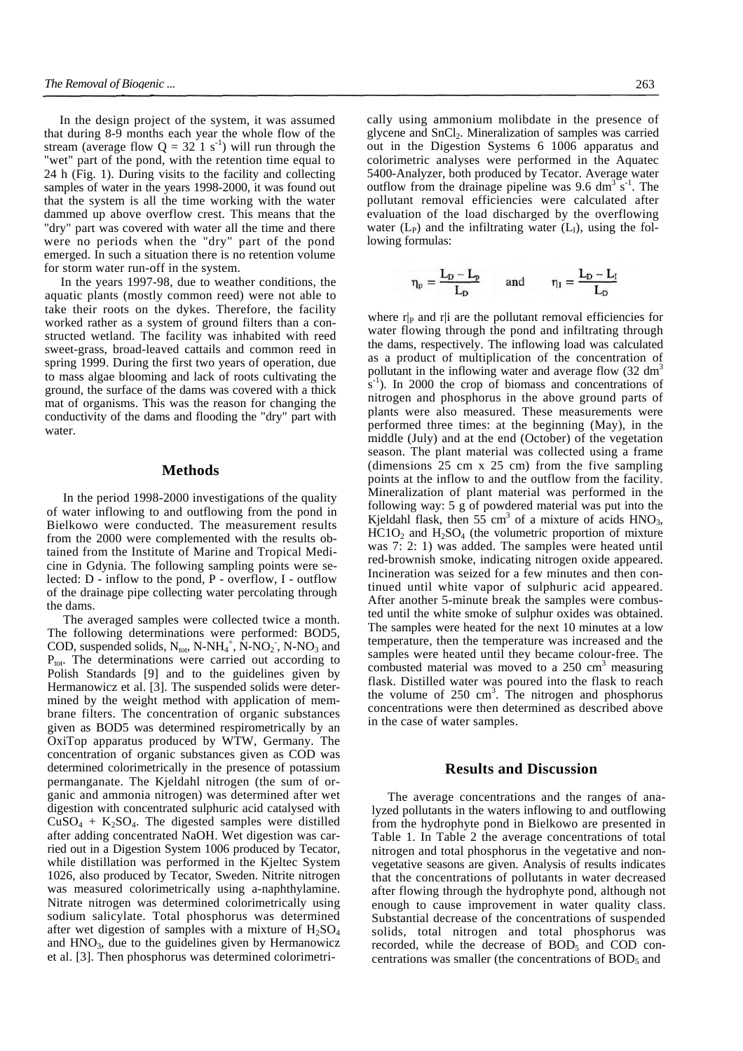In the design project of the system, it was assumed that during 8-9 months each year the whole flow of the stream (average flow  $Q = 32 \text{ } 1 \text{ s}^{-1}$ ) will run through the "wet" part of the pond, with the retention time equal to 24 h (Fig. 1). During visits to the facility and collecting samples of water in the years 1998-2000, it was found out that the system is all the time working with the water dammed up above overflow crest. This means that the "dry" part was covered with water all the time and there were no periods when the "dry" part of the pond emerged. In such a situation there is no retention volume for storm water run-off in the system.

In the years 1997-98, due to weather conditions, the aquatic plants (mostly common reed) were not able to take their roots on the dykes. Therefore, the facility worked rather as a system of ground filters than a constructed wetland. The facility was inhabited with reed sweet-grass, broad-leaved cattails and common reed in spring 1999. During the first two years of operation, due to mass algae blooming and lack of roots cultivating the ground, the surface of the dams was covered with a thick mat of organisms. This was the reason for changing the conductivity of the dams and flooding the "dry" part with water.

#### **Methods**

In the period 1998-2000 investigations of the quality of water inflowing to and outflowing from the pond in Bielkowo were conducted. The measurement results from the 2000 were complemented with the results obtained from the Institute of Marine and Tropical Medicine in Gdynia. The following sampling points were selected: D - inflow to the pond, P - overflow, I - outflow of the drainage pipe collecting water percolating through the dams.

The averaged samples were collected twice a month. The following determinations were performed: BOD5, COD, suspended solids,  $N_{\text{tot}}$ , N-NH<sub>4</sub><sup>+</sup>, N-NO<sub>2</sub><sup>-</sup>, N-NO<sub>3</sub> and  $P_{tot}$ . The determinations were carried out according to Polish Standards [9] and to the guidelines given by Hermanowicz et al. [3]. The suspended solids were determined by the weight method with application of membrane filters. The concentration of organic substances given as BOD5 was determined respirometrically by an OxiTop apparatus produced by WTW, Germany. The concentration of organic substances given as COD was determined colorimetrically in the presence of potassium permanganate. The Kjeldahl nitrogen (the sum of organic and ammonia nitrogen) was determined after wet digestion with concentrated sulphuric acid catalysed with  $CuSO<sub>4</sub> + K<sub>2</sub>SO<sub>4</sub>$ . The digested samples were distilled after adding concentrated NaOH. Wet digestion was carried out in a Digestion System 1006 produced by Tecator, while distillation was performed in the Kjeltec System 1026, also produced by Tecator, Sweden. Nitrite nitrogen was measured colorimetrically using a-naphthylamine. Nitrate nitrogen was determined colorimetrically using sodium salicylate. Total phosphorus was determined after wet digestion of samples with a mixture of  $H_2SO_4$ and  $HNO<sub>3</sub>$ , due to the guidelines given by Hermanowicz et al. [3]. Then phosphorus was determined colorimetrically using ammonium molibdate in the presence of glycene and SnCl2. Mineralization of samples was carried out in the Digestion Systems 6 1006 apparatus and colorimetric analyses were performed in the Aquatec 5400-Analyzer, both produced by Tecator. Average water outflow from the drainage pipeline was 9.6  $\text{dm}^3 \text{ s}^{-1}$ . The pollutant removal efficiencies were calculated after evaluation of the load discharged by the overflowing water  $(L_P)$  and the infiltrating water  $(L_I)$ , using the following formulas:

 $\eta_p = \frac{L_p - L_p}{L_p}$  and  $\eta_l = \frac{L_p - L_l}{L_p}$ 

where  $r|_P$  and r|i are the pollutant removal efficiencies for water flowing through the pond and infiltrating through the dams, respectively. The inflowing load was calculated as a product of multiplication of the concentration of pollutant in the inflowing water and average flow  $(32 \text{ dm}^3)$  $\sin^{-1}$ ). In 2000 the crop of biomass and concentrations of nitrogen and phosphorus in the above ground parts of plants were also measured. These measurements were performed three times: at the beginning (May), in the middle (July) and at the end (October) of the vegetation season. The plant material was collected using a frame (dimensions 25 cm x 25 cm) from the five sampling points at the inflow to and the outflow from the facility. Mineralization of plant material was performed in the following way: 5 g of powdered material was put into the Kjeldahl flask, then  $55 \text{ cm}^3$  of a mixture of acids  $HNO_3$ ,  $HC1O<sub>2</sub>$  and  $H<sub>2</sub>SO<sub>4</sub>$  (the volumetric proportion of mixture was 7: 2: 1) was added. The samples were heated until red-brownish smoke, indicating nitrogen oxide appeared. Incineration was seized for a few minutes and then continued until white vapor of sulphuric acid appeared. After another 5-minute break the samples were combusted until the white smoke of sulphur oxides was obtained. The samples were heated for the next 10 minutes at a low temperature, then the temperature was increased and the samples were heated until they became colour-free. The combusted material was moved to a  $250 \text{ cm}^3$  measuring flask. Distilled water was poured into the flask to reach the volume of  $250 \text{ cm}^3$ . The nitrogen and phosphorus concentrations were then determined as described above in the case of water samples.

#### **Results and Discussion**

The average concentrations and the ranges of analyzed pollutants in the waters inflowing to and outflowing from the hydrophyte pond in Bielkowo are presented in Table 1. In Table 2 the average concentrations of total nitrogen and total phosphorus in the vegetative and nonvegetative seasons are given. Analysis of results indicates that the concentrations of pollutants in water decreased after flowing through the hydrophyte pond, although not enough to cause improvement in water quality class. Substantial decrease of the concentrations of suspended solids, total nitrogen and total phosphorus was recorded, while the decrease of  $BOD<sub>5</sub>$  and  $COD$  concentrations was smaller (the concentrations of  $BOD<sub>5</sub>$  and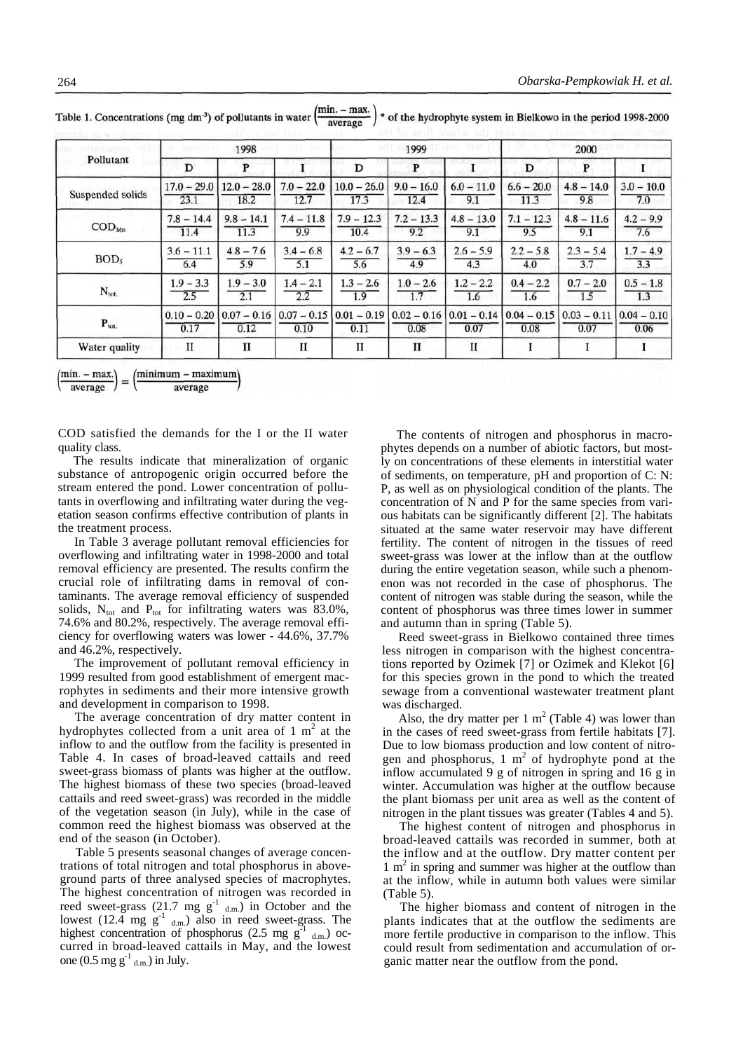|                          | 1998<br>ama b |               |               | 1999          |               |               | 2000          |               |               |
|--------------------------|---------------|---------------|---------------|---------------|---------------|---------------|---------------|---------------|---------------|
| Pollutant                | D             | P             |               | D             | P             |               | D             | P             |               |
| Suspended solids         | $17.0 - 29.0$ | $12.0 - 28.0$ | $7.0 - 22.0$  | $10.0 - 26.0$ | $9.0 - 16.0$  | $6.0 - 11.0$  | $6.6 - 20.0$  | $4.8 - 14.0$  | $3.0 - 10.0$  |
|                          | 23.1          | 18.2          | 12.7          | 17.3          | 12.4          | 9.1           | 11.3          | 9.8           | 7.0           |
| $\text{COD}_{\text{Mn}}$ | $7.8 - 14.4$  | $9.8 - 14.1$  | $7.4 - 11.8$  | $7.9 - 12.3$  | $7.2 - 13.3$  | $4.8 - 13.0$  | $7.1 - 12.3$  | $4.8 - 11.6$  | $4.2 - 9.9$   |
|                          | 11.4          | 11.3          | 9.9           | 10.4          | 9.2           | 9.1           | 9.5           | 9.1           | 7.6           |
| BOD <sub>5</sub>         | $3.6 - 11.1$  | $4.8 - 7.6$   | $3.4 - 6.8$   | $4.2 - 6.7$   | $3.9 - 6.3$   | $2.6 - 5.9$   | $2.2 - 5.8$   | $2.3 - 5.4$   | $1.7 - 4.9$   |
|                          | 6.4           | 5.9           | 5.1           | 5.6           | 4.9           | 4.3           | 4.0           | 3.7           | 3.3           |
| $N_{\text{tot.}}$        | $1.9 - 3.3$   | $1.9 - 3.0$   | $1.4 - 2.1$   | $1.3 - 2.6$   | $1.0 - 2.6$   | $1.2 - 2.2$   | $0.4 - 2.2$   | $0.7 - 2.0$   | $0.5 - 1.8$   |
|                          | 2.5           | 2.1           | 2.2           | 1.9           | 1.7           | 1.6           | 1.6           | 1.5           | 1.3           |
| $P_{\text{tot.}}$        | $0.10 - 0.20$ | $0.07 - 0.16$ | $0.07 - 0.15$ | $0.01 - 0.19$ | $0.02 - 0.16$ | $0.01 - 0.14$ | $0.04 - 0.15$ | $0.03 - 0.11$ | $0.04 - 0.10$ |
|                          | 0.17          | 0.12          | 0.10          | 0.11          | 0.08          | 0.07          | 0.08          | 0.07          | 0.06          |
| Water quality            | П             | п             | п             | П             | п             | П             |               |               |               |

min. – max. Table 1. Concentrations (mg dm<sup>-3</sup>) of pollutants in water  $\left(\frac{1}{2}\right)$ \* of the hydrophyte system in Bielkowo in the period 1998-2000 average

minimum – maximum (min. – max.)

COD satisfied the demands for the I or the II water quality class.

The results indicate that mineralization of organic substance of antropogenic origin occurred before the stream entered the pond. Lower concentration of pollutants in overflowing and infiltrating water during the vegetation season confirms effective contribution of plants in the treatment process.

In Table 3 average pollutant removal efficiencies for overflowing and infiltrating water in 1998-2000 and total removal efficiency are presented. The results confirm the crucial role of infiltrating dams in removal of contaminants. The average removal efficiency of suspended solids,  $N_{\text{tot}}$  and  $P_{\text{tot}}$  for infiltrating waters was 83.0%, 74.6% and 80.2%, respectively. The average removal efficiency for overflowing waters was lower - 44.6%, 37.7% and 46.2%, respectively.

The improvement of pollutant removal efficiency in 1999 resulted from good establishment of emergent macrophytes in sediments and their more intensive growth and development in comparison to 1998.

The average concentration of dry matter content in hydrophytes collected from a unit area of  $1 \text{ m}^2$  at the inflow to and the outflow from the facility is presented in Table 4. In cases of broad-leaved cattails and reed sweet-grass biomass of plants was higher at the outflow. The highest biomass of these two species (broad-leaved cattails and reed sweet-grass) was recorded in the middle of the vegetation season (in July), while in the case of common reed the highest biomass was observed at the end of the season (in October).

Table 5 presents seasonal changes of average concentrations of total nitrogen and total phosphorus in aboveground parts of three analysed species of macrophytes. The highest concentration of nitrogen was recorded in reed sweet-grass (21.7 mg  $g^{-1}$  d.m.) in October and the lowest  $(12.4 \text{ mg g}^{-1} \text{ d.m.})$  also in reed sweet-grass. The highest concentration of phosphorus (2.5 mg  $g^{-1}$  d.m.) occurred in broad-leaved cattails in May, and the lowest one  $(0.5 \text{ mg g}^{-1}_{d.m.})$  in July.

The contents of nitrogen and phosphorus in macrophytes depends on a number of abiotic factors, but mostly on concentrations of these elements in interstitial water of sediments, on temperature, pH and proportion of C: N: P, as well as on physiological condition of the plants. The concentration of N and P for the same species from various habitats can be significantly different [2]. The habitats situated at the same water reservoir may have different fertility. The content of nitrogen in the tissues of reed sweet-grass was lower at the inflow than at the outflow during the entire vegetation season, while such a phenomenon was not recorded in the case of phosphorus. The content of nitrogen was stable during the season, while the content of phosphorus was three times lower in summer and autumn than in spring (Table 5).

Reed sweet-grass in Bielkowo contained three times less nitrogen in comparison with the highest concentrations reported by Ozimek [7] or Ozimek and Klekot [6] for this species grown in the pond to which the treated sewage from a conventional wastewater treatment plant was discharged.

Also, the dry matter per 1  $m<sup>2</sup>$  (Table 4) was lower than in the cases of reed sweet-grass from fertile habitats [7]. Due to low biomass production and low content of nitrogen and phosphorus,  $1 \text{ m}^2$  of hydrophyte pond at the inflow accumulated 9 g of nitrogen in spring and 16 g in winter. Accumulation was higher at the outflow because the plant biomass per unit area as well as the content of nitrogen in the plant tissues was greater (Tables 4 and 5).

The highest content of nitrogen and phosphorus in broad-leaved cattails was recorded in summer, both at the inflow and at the outflow. Dry matter content per 1 m<sup>2</sup> in spring and summer was higher at the outflow than at the inflow, while in autumn both values were similar (Table 5).

The higher biomass and content of nitrogen in the plants indicates that at the outflow the sediments are more fertile productive in comparison to the inflow. This could result from sedimentation and accumulation of organic matter near the outflow from the pond.

average average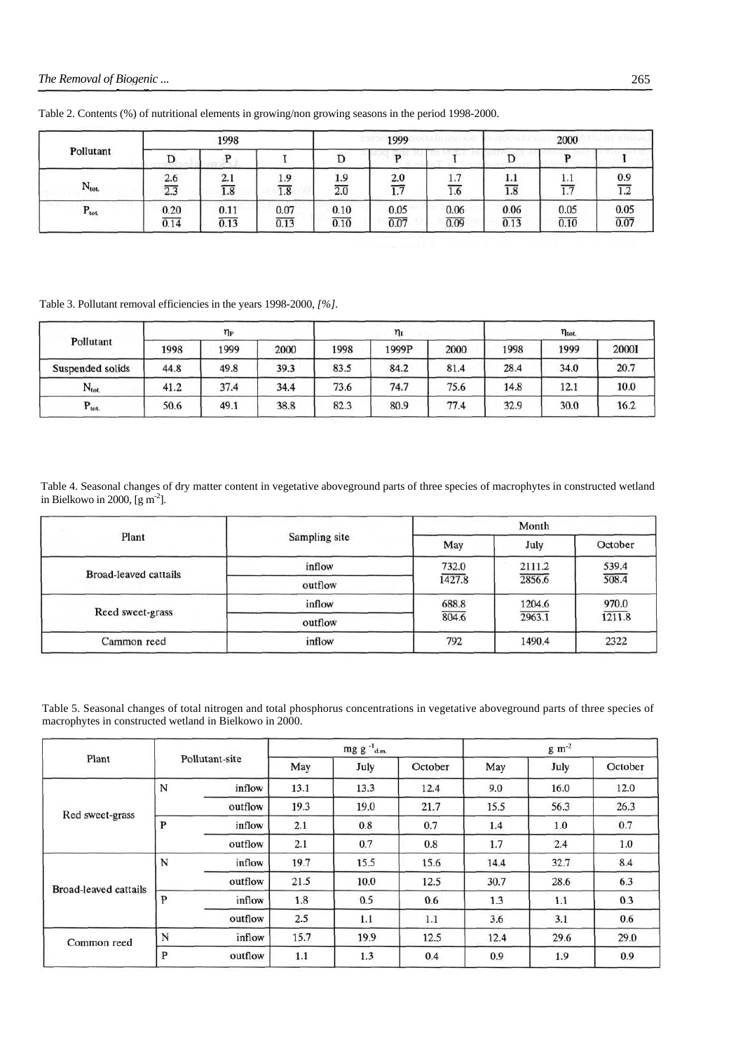|                   | 1998 |      |      | 1999 |      |      | 2000 |      |      |
|-------------------|------|------|------|------|------|------|------|------|------|
| Pollutant         | D    |      |      | ມ    |      |      |      |      |      |
| $N_{\text{tot.}}$ | 2.6  | 2.1  | 1.9  | 1.9  | 2.0  | 1.7  | 1.1  | 1.1  | 0.9  |
|                   | 2.3  | 1.8  | 1.8  | 2.0  | 1.7  | 1.6  | 1.8  | 1.1  | 1.2  |
| $P_{\text{tot.}}$ | 0.20 | 0.11 | 0.07 | 0.10 | 0.05 | 0.06 | 0.06 | 0.05 | 0.05 |
|                   | 0.14 | 0.13 | 0.13 | 0.10 | 0.07 | 0.09 | 0.13 | 0.10 | 0.07 |

Table 2. Contents (%) of nutritional elements in growing/non growing seasons in the period 1998-2000.

Table 3. Pollutant removal efficiencies in the years 1998-2000, *[%].*

|                   | $\eta_{\rm P}$ |      |      | $\eta_I$ |       |      | $\eta_{\text{tot.}}$ |      |       |
|-------------------|----------------|------|------|----------|-------|------|----------------------|------|-------|
| Pollutant         | 1998           | 1999 | 2000 | 1998     | 1999P | 2000 | 1998                 | 1999 | 20001 |
| Suspended solids  | 44.8           | 49.8 | 39.3 | 83.5     | 84.2  | 81.4 | 28.4                 | 34.0 | 20.7  |
| $N_{\text{tot.}}$ | 41.2           | 37.4 | 34.4 | 73.6     | 74.7  | 75.6 | 14.8                 | 12.1 | 10.0  |
| $P_{\text{tot.}}$ | 50.6           | 49.1 | 38.8 | 82.3     | 80.9  | 77.4 | 32.9                 | 30.0 | 16.2  |

Table 4. Seasonal changes of dry matter content in vegetative aboveground parts of three species of macrophytes in constructed wetland in Bielkowo in 2000,  $\left[\text{g m}^2\right]$ .

|                              |               | Month  |        |         |  |  |
|------------------------------|---------------|--------|--------|---------|--|--|
| Plant                        | Sampling site | May    | July   | October |  |  |
| <b>Broad-leaved cattails</b> | inflow        | 732.0  | 2111.2 | 539.4   |  |  |
|                              | outflow       | 1427.8 | 2856.6 | 508.4   |  |  |
| Reed sweet-grass             | inflow        | 688.8  | 1204.6 | 970.0   |  |  |
|                              | outflow       | 804.6  | 2963.1 | 1211.8  |  |  |
| Cammon reed                  | inflow        | 792    | 1490.4 | 2322    |  |  |

Table 5. Seasonal changes of total nitrogen and total phosphorus concentrations in vegetative aboveground parts of three species of macrophytes in constructed wetland in Bielkowo in 2000.

|                       |                                 |                | mg g $^{-1}$ <sub>d.m.</sub> |      |         | $g \, \text{m}^{-2}$                             |      |         |
|-----------------------|---------------------------------|----------------|------------------------------|------|---------|--------------------------------------------------|------|---------|
| Plant                 |                                 | Pollutant-site | May                          | July | October | May<br>9.0<br>15.5<br>1.4<br>1.7<br>14.4<br>30.7 | July | October |
|                       | N                               | inflow         | 13.1                         | 13.3 | 12.4    |                                                  | 16.0 | 12.0    |
| Red sweet-grass       | 19.3<br>19.0<br>outflow<br>21.7 |                | 56.3                         | 26.3 |         |                                                  |      |         |
|                       | P                               | inflow         | 2.1                          | 0.8  | 0.7     |                                                  | 1.0  | 0.7     |
|                       | 0.7<br>2.1<br>outflow           |                | 0.8                          |      | 2.4     | 1.0                                              |      |         |
|                       | N                               | inflow         | 19.7                         | 15.5 | 15.6    |                                                  | 32.7 | 8.4     |
| Broad-leaved cattails |                                 | outflow        | 21.5                         | 10.0 | 12.5    |                                                  | 28.6 | 6.3     |
|                       | P                               | inflow         | 1.8                          | 0.5  | 0.6     | 1.3                                              | 1.1  | 0.3     |
|                       |                                 | outflow        | 2.5                          | 1.1  | 1.1     | 3.6                                              | 3.1  | 0.6     |
| Common reed           | N                               | inflow         | 15.7                         | 19.9 | 12.5    | 12.4                                             | 29.6 | 29.0    |
|                       | P                               | outflow        | 1.1                          | 1.3  | 0.4     | 0.9                                              | 1.9  | 0.9     |